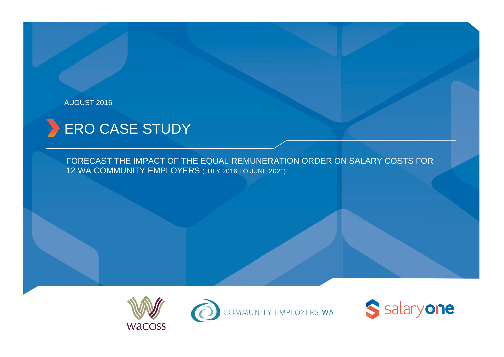### AUGUST 2016

# **ERO CASE STUDY**

FORECAST THE IMPACT OF THE EQUAL REMUNERATION ORDER ON SALARY COSTS FOR 12 WA COMMUNITY EMPLOYERS (JULY 2016 TO JUNE 2021)





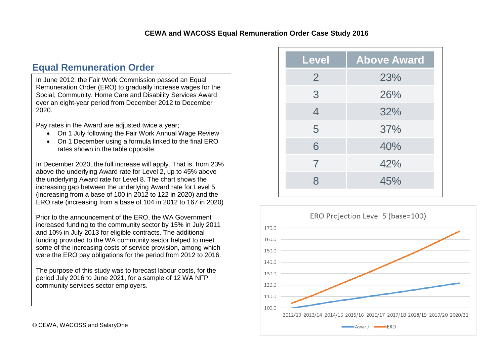# **Equal Remuneration Order**

In June 2012, the Fair Work Commission passed an Equal Remuneration Order (ERO) to gradually increase wages for the Social, Community, Home Care and Disability Services Award over an eight-year period from December 2012 to December 2020.

Pay rates in the Award are adjusted twice a year;

- On 1 July following the Fair Work Annual Wage Review
- On 1 December using a formula linked to the final ERO rates shown in the table opposite.

In December 2020, the full increase will apply. That is, from 23% above the underlying Award rate for Level 2, up to 45% above the underlying Award rate for Level 8. The chart shows the increasing gap between the underlying Award rate for Level 5 (increasing from a base of 100 in 2012 to 122 in 2020) and the ERO rate (increasing from a base of 104 in 2012 to 167 in 2020)

Prior to the announcement of the ERO, the WA Government increased funding to the community sector by 15% in July 2011 and 10% in July 2013 for eligible contracts. The additional funding provided to the WA community sector helped to meet some of the increasing costs of service provision, among which were the ERO pay obligations for the period from 2012 to 2016.

The purpose of this study was to forecast labour costs, for the period July 2016 to June 2021, for a sample of 12 WA NFP community services sector employers.

| Level          | <b>Above Award</b> |
|----------------|--------------------|
| $\overline{2}$ | 23%                |
| 3              | 26%                |
| $\overline{4}$ | 32%                |
| 5              | 37%                |
| 6              | 40%                |
| $\overline{7}$ | 42%                |
| 8              | 45%                |
|                |                    |

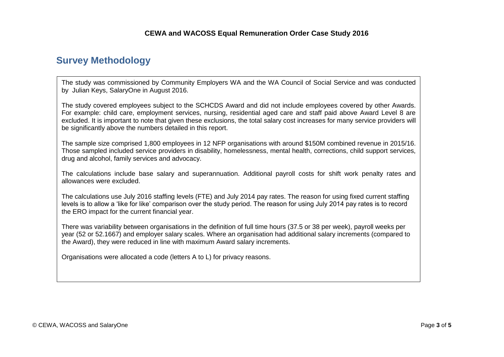## **Survey Methodology**

The study was commissioned by Community Employers WA and the WA Council of Social Service and was conducted by Julian Keys, SalaryOne in August 2016.

The study covered employees subject to the SCHCDS Award and did not include employees covered by other Awards. For example: child care, employment services, nursing, residential aged care and staff paid above Award Level 8 are excluded. It is important to note that given these exclusions, the total salary cost increases for many service providers will be significantly above the numbers detailed in this report.

The sample size comprised 1,800 employees in 12 NFP organisations with around \$150M combined revenue in 2015/16. Those sampled included service providers in disability, homelessness, mental health, corrections, child support services, drug and alcohol, family services and advocacy.

The calculations include base salary and superannuation. Additional payroll costs for shift work penalty rates and allowances were excluded.

The calculations use July 2016 staffing levels (FTE) and July 2014 pay rates. The reason for using fixed current staffing levels is to allow a 'like for like' comparison over the study period. The reason for using July 2014 pay rates is to record the ERO impact for the current financial year.

There was variability between organisations in the definition of full time hours (37.5 or 38 per week), payroll weeks per year (52 or 52.1667) and employer salary scales. Where an organisation had additional salary increments (compared to the Award), they were reduced in line with maximum Award salary increments.

Organisations were allocated a code (letters A to L) for privacy reasons.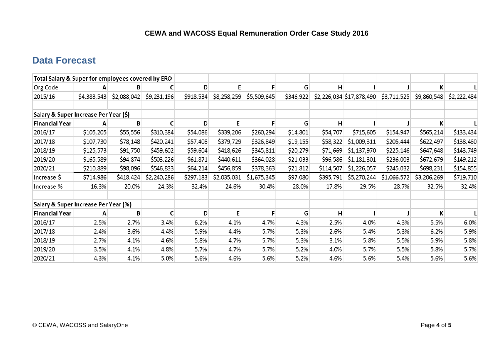## **Data Forecast**

| Total Salary & Super for employees covered by ERO |             |             |             |           |             |             |           |           |                          |             |             |             |
|---------------------------------------------------|-------------|-------------|-------------|-----------|-------------|-------------|-----------|-----------|--------------------------|-------------|-------------|-------------|
| Org Code                                          | А           |             |             | D         |             |             | G         | н         |                          |             | К           |             |
| 2015/16                                           | \$4,383,543 | \$2,088,042 | \$9,231,196 | \$918,534 | \$8,258,259 | \$5,509,645 | \$346,922 |           | \$2,226,034 \$17,878,490 | \$3,711,525 | \$9,860,548 | \$2,222,484 |
| Salary & Super Increase Per Year (\$)             |             |             |             |           |             |             |           |           |                          |             |             |             |
| <b>Financial Year</b>                             | A           | B           |             | D         | E           | F           | G         | н         |                          |             | K           |             |
| 2016/17                                           | \$105,205   | \$55,556    | \$310,384   | \$54,086  | \$339,206   | \$260,294   | \$14,801  | \$54,707  | \$715,605                | \$154,947   | \$565,214   | \$133,434   |
| 2017/18                                           | \$107,730   | \$78,148    | \$420,241   | \$57,408  | \$379,729   | \$326,849   | \$19,155  | \$58,322  | \$1,009,311              | \$205,444   | \$622,497   | \$138,460   |
| 2018/19                                           | \$125,573   | \$91,750    | \$459,602   | \$59,604  | \$418,626   | \$345,811   | \$20,279  | \$71,669  | \$1,137,970              | \$225,146   | \$647,648   | \$143,749   |
| 2019/20                                           | \$165,589   | \$94,874    | \$503,226   | \$61,871  | \$440,611   | \$364,028   | \$21,033  | \$96,586  | \$1,181,301              | \$236,003   | \$672,679   | \$149,212   |
| 2020/21                                           | \$210,889   | \$98,096    | \$546,833   | \$64,214  | \$456,859   | \$378,363   | \$21,812  | \$114,507 | \$1,226,057              | \$245,032   | \$698,231   | \$154,855   |
| Increase \$                                       | \$714,986   | \$418,424   | \$2,240,286 | \$297,183 | \$2,035,031 | \$1,675,345 | \$97,080  | \$395,791 | \$5,270,244              | \$1,066,572 | \$3,206,269 | \$719,710   |
| Increase %                                        | 16.3%       | 20.0%       | 24.3%       | 32.4%     | 24.6%       | 30.4%       | 28.0%     | 17.8%     | 29.5%                    | 28.7%       | 32.5%       | 32.4%       |
| Salary & Super Increase Per Year (%)              |             |             |             |           |             |             |           |           |                          |             |             |             |
| <b>Financial Year</b>                             | A           | B           |             | D         | E           |             | G         | H         |                          |             | К           |             |
| 2016/17                                           | 2.5%        | 2.7%        | 3.4%        | 6.2%      | 4.1%        | 4.7%        | 4.3%      | 2.5%      | 4.0%                     | 4.3%        | 5.5%        | 6.0%        |
| 2017/18                                           | 2.4%        | 3.6%        | 4.4%        | 5.9%      | 4.4%        | 5.7%        | 5.3%      | 2.6%      | 5.4%                     | 5.3%        | 6.2%        | 5.9%        |
| 2018/19                                           | 2.7%        | 4.1%        | 4.6%        | 5.8%      | 4.7%        | 5.7%        | 5.3%      | 3.1%      | 5.8%                     | 5.5%        | 5.9%        | 5.8%        |
| 2019/20                                           | 3.5%        | 4.1%        | 4.8%        | 5.7%      | 4.7%        | 5.7%        | 5.2%      | 4.0%      | 5.7%                     | 5.5%        | 5.8%        | 5.7%        |
| 2020/21                                           | 4.3%        | 4.1%        | 5.0%        | 5.6%      | 4.6%        | 5.6%        | 5.2%      | 4.6%      | 5.6%                     | 5.4%        | 5.6%        | 5.6%        |